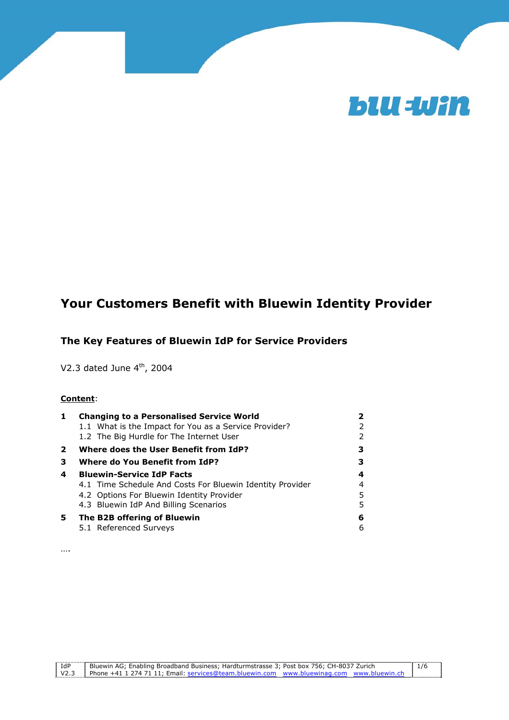

# **Your Customers Benefit with Bluewin Identity Provider**

### **The Key Features of Bluewin IdP for Service Providers**

V2.3 dated June  $4<sup>th</sup>$ , 2004

#### **Content**:

| 1  | <b>Changing to a Personalised Service World</b>           |   |
|----|-----------------------------------------------------------|---|
|    | 1.1 What is the Impact for You as a Service Provider?     |   |
|    | 1.2 The Big Hurdle for The Internet User                  |   |
| 2  | Where does the User Benefit from IdP?                     |   |
| З. | <b>Where do You Benefit from IdP?</b>                     |   |
| 4  | <b>Bluewin-Service IdP Facts</b>                          | 4 |
|    | 4.1 Time Schedule And Costs For Bluewin Identity Provider | 4 |
|    | 4.2 Options For Bluewin Identity Provider                 | 5 |
|    | 4.3 Bluewin IdP And Billing Scenarios                     | 5 |
| 5. | The B2B offering of Bluewin                               | 6 |
|    | 5.1 Referenced Surveys                                    | 6 |

….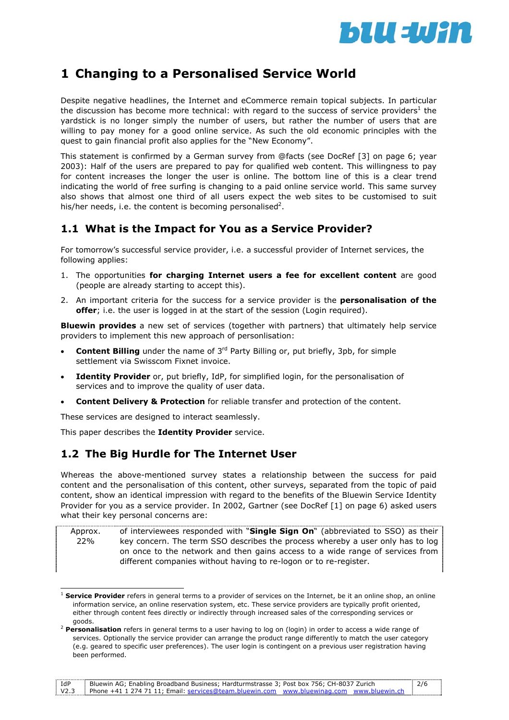

# **1 Changing to a Personalised Service World**

Despite negative headlines, the Internet and eCommerce remain topical subjects. In particular the discussion has become more technical: with regard to the success of service providers<sup>1</sup> the yardstick is no longer simply the number of users, but rather the number of users that are willing to pay money for a good online service. As such the old economic principles with the quest to gain financial profit also applies for the "New Economy".

This statement is confirmed by a German survey from @facts (see DocRef [3] on page 6; year 2003): Half of the users are prepared to pay for qualified web content. This willingness to pay for content increases the longer the user is online. The bottom line of this is a clear trend indicating the world of free surfing is changing to a paid online service world. This same survey also shows that almost one third of all users expect the web sites to be customised to suit his/her needs, i.e. the content is becoming personalised<sup>2</sup>.

## **1.1 What is the Impact for You as a Service Provider?**

For tomorrow's successful service provider, i.e. a successful provider of Internet services, the following applies:

- 1. The opportunities **for charging Internet users a fee for excellent content** are good (people are already starting to accept this).
- 2. An important criteria for the success for a service provider is the **personalisation of the offer**; i.e. the user is logged in at the start of the session (Login required).

**Bluewin provides** a new set of services (together with partners) that ultimately help service providers to implement this new approach of personlisation:

- **Content Billing** under the name of 3<sup>rd</sup> Party Billing or, put briefly, 3pb, for simple settlement via Swisscom Fixnet invoice.
- **Identity Provider** or, put briefly, IdP, for simplified login, for the personalisation of services and to improve the quality of user data.
- **Content Delivery & Protection** for reliable transfer and protection of the content.

These services are designed to interact seamlessly.

This paper describes the **Identity Provider** service.

## **1.2 The Big Hurdle for The Internet User**

Whereas the above-mentioned survey states a relationship between the success for paid content and the personalisation of this content, other surveys, separated from the topic of paid content, show an identical impression with regard to the benefits of the Bluewin Service Identity Provider for you as a service provider. In 2002, Gartner (see DocRef [1] on page 6) asked users what their key personal concerns are:

Approx. 22% of interviewees responded with "**Single Sign On**" (abbreviated to SSO) as their key concern. The term SSO describes the process whereby a user only has to log on once to the network and then gains access to a wide range of services from different companies without having to re-logon or to re-register.

IdP V2.3 Bluewin AG; Enabling Broadband Business; Hardturmstrasse 3; Post box 756; CH-8037 Zurich Phone +41 1 274 71 11; Email: services@team.bluewin.com www.bluewinag.com www.bluewin.ch 2/6

 $\overline{a}$ <sup>1</sup> **Service Provider** refers in general terms to a provider of services on the Internet, be it an online shop, an online information service, an online reservation system, etc. These service providers are typically profit oriented, either through content fees directly or indirectly through increased sales of the corresponding services or

goods. 2 **Personalisation** refers in general terms to a user having to log on (login) in order to access a wide range of services. Optionally the service provider can arrange the product range differently to match the user category (e.g. geared to specific user preferences). The user login is contingent on a previous user registration having been performed.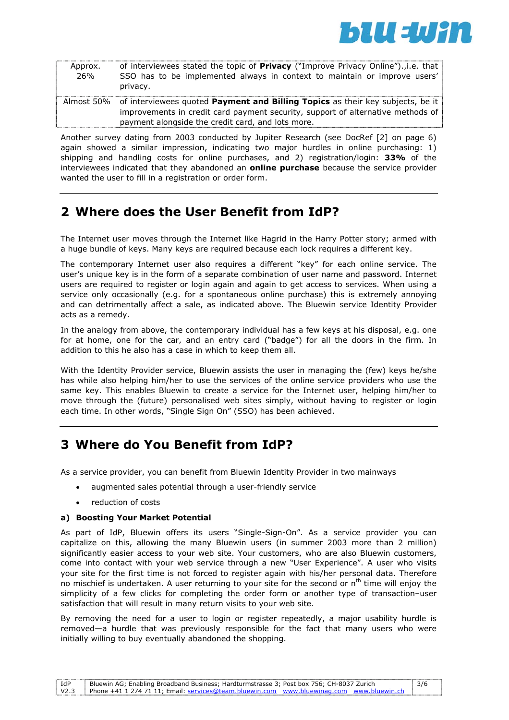

| Approx.<br>26% | of interviewees stated the topic of <b>Privacy</b> ("Improve Privacy Online")., i.e. that<br>SSO has to be implemented always in context to maintain or improve users'<br>privacy.                                                       |
|----------------|------------------------------------------------------------------------------------------------------------------------------------------------------------------------------------------------------------------------------------------|
|                | Almost 50% of interviewees quoted <b>Payment and Billing Topics</b> as their key subjects, be it<br>improvements in credit card payment security, support of alternative methods of<br>payment alongside the credit card, and lots more. |

Another survey dating from 2003 conducted by Jupiter Research (see DocRef [2] on page 6) again showed a similar impression, indicating two major hurdles in online purchasing: 1) shipping and handling costs for online purchases, and 2) registration/login: **33%** of the interviewees indicated that they abandoned an **online purchase** because the service provider wanted the user to fill in a registration or order form.

# **2 Where does the User Benefit from IdP?**

The Internet user moves through the Internet like Hagrid in the Harry Potter story; armed with a huge bundle of keys. Many keys are required because each lock requires a different key.

The contemporary Internet user also requires a different "key" for each online service. The user's unique key is in the form of a separate combination of user name and password. Internet users are required to register or login again and again to get access to services. When using a service only occasionally (e.g. for a spontaneous online purchase) this is extremely annoying and can detrimentally affect a sale, as indicated above. The Bluewin service Identity Provider acts as a remedy.

In the analogy from above, the contemporary individual has a few keys at his disposal, e.g. one for at home, one for the car, and an entry card ("badge") for all the doors in the firm. In addition to this he also has a case in which to keep them all.

With the Identity Provider service, Bluewin assists the user in managing the (few) keys he/she has while also helping him/her to use the services of the online service providers who use the same key. This enables Bluewin to create a service for the Internet user, helping him/her to move through the (future) personalised web sites simply, without having to register or login each time. In other words, "Single Sign On" (SSO) has been achieved.

# **3 Where do You Benefit from IdP?**

As a service provider, you can benefit from Bluewin Identity Provider in two mainways

- augmented sales potential through a user-friendly service
- reduction of costs

#### **a) Boosting Your Market Potential**

As part of IdP, Bluewin offers its users "Single-Sign-On". As a service provider you can capitalize on this, allowing the many Bluewin users (in summer 2003 more than 2 million) significantly easier access to your web site. Your customers, who are also Bluewin customers, come into contact with your web service through a new "User Experience". A user who visits your site for the first time is not forced to register again with his/her personal data. Therefore no mischief is undertaken. A user returning to your site for the second or  $n<sup>th</sup>$  time will enjoy the simplicity of a few clicks for completing the order form or another type of transaction–user satisfaction that will result in many return visits to your web site.

By removing the need for a user to login or register repeatedly, a major usability hurdle is removed—a hurdle that was previously responsible for the fact that many users who were initially willing to buy eventually abandoned the shopping.

| ` IdP | Bluewin AG; Enabling Broadband Business; Hardturmstrasse 3; Post box 756; CH-8037 Zurich      | 3/6 |
|-------|-----------------------------------------------------------------------------------------------|-----|
|       | V2.3 Phone +41 1 274 71 11: Email: services@team.bluewin.com www.bluewinag.com www.bluewin.ch |     |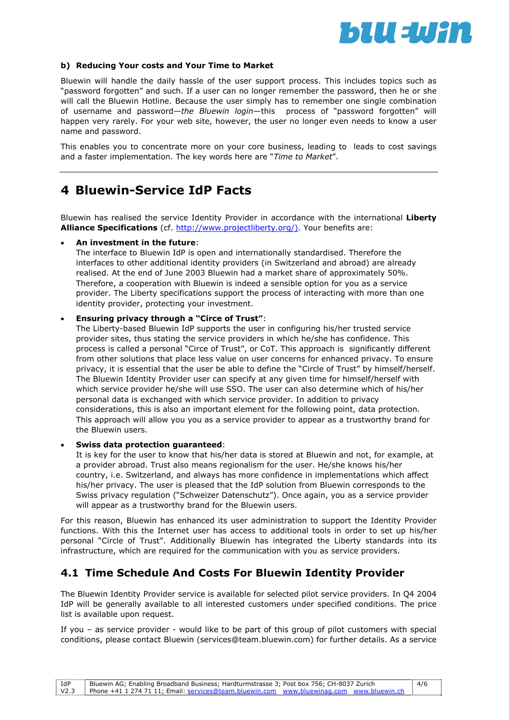

#### **b) Reducing Your costs and Your Time to Market**

Bluewin will handle the daily hassle of the user support process. This includes topics such as "password forgotten" and such. If a user can no longer remember the password, then he or she will call the Bluewin Hotline. Because the user simply has to remember one single combination of username and password—*the Bluewin login*—this process of "password forgotten" will happen very rarely. For your web site, however, the user no longer even needs to know a user name and password.

This enables you to concentrate more on your core business, leading to leads to cost savings and a faster implementation. The key words here are "*Time to Market*".

## **4 Bluewin-Service IdP Facts**

Bluewin has realised the service Identity Provider in accordance with the international **Liberty Alliance Specifications** (cf. http://www.projectliberty.org/). Your benefits are:

#### • **An investment in the future**:

The interface to Bluewin IdP is open and internationally standardised. Therefore the interfaces to other additional identity providers (in Switzerland and abroad) are already realised. At the end of June 2003 Bluewin had a market share of approximately 50%. Therefore, a cooperation with Bluewin is indeed a sensible option for you as a service provider. The Liberty specifications support the process of interacting with more than one identity provider, protecting your investment.

#### • **Ensuring privacy through a "Circe of Trust"**:

The Liberty-based Bluewin IdP supports the user in configuring his/her trusted service provider sites, thus stating the service providers in which he/she has confidence. This process is called a personal "Circe of Trust", or CoT. This approach is significantly different from other solutions that place less value on user concerns for enhanced privacy. To ensure privacy, it is essential that the user be able to define the "Circle of Trust" by himself/herself. The Bluewin Identity Provider user can specify at any given time for himself/herself with which service provider he/she will use SSO. The user can also determine which of his/her personal data is exchanged with which service provider. In addition to privacy considerations, this is also an important element for the following point, data protection. This approach will allow you you as a service provider to appear as a trustworthy brand for the Bluewin users.

#### • **Swiss data protection guaranteed**:

It is key for the user to know that his/her data is stored at Bluewin and not, for example, at a provider abroad. Trust also means regionalism for the user. He/she knows his/her country, i.e. Switzerland, and always has more confidence in implementations which affect his/her privacy. The user is pleased that the IdP solution from Bluewin corresponds to the Swiss privacy regulation ("Schweizer Datenschutz"). Once again, you as a service provider will appear as a trustworthy brand for the Bluewin users.

For this reason, Bluewin has enhanced its user administration to support the Identity Provider functions. With this the Internet user has access to additional tools in order to set up his/her personal "Circle of Trust". Additionally Bluewin has integrated the Liberty standards into its infrastructure, which are required for the communication with you as service providers.

## **4.1 Time Schedule And Costs For Bluewin Identity Provider**

The Bluewin Identity Provider service is available for selected pilot service providers. In Q4 2004 IdP will be generally available to all interested customers under specified conditions. The price list is available upon request.

If you – as service provider - would like to be part of this group of pilot customers with special conditions, please contact Bluewin (services@team.bluewin.com) for further details. As a service

| IdP | Bluewin AG; Enabling Broadband Business; Hardturmstrasse 3; Post box 756; CH-8037 Zurich      | 4/6 |
|-----|-----------------------------------------------------------------------------------------------|-----|
|     | V2.3 Phone +41 1 274 71 11: Email: services@team.bluewin.com www.bluewinag.com www.bluewin.ch |     |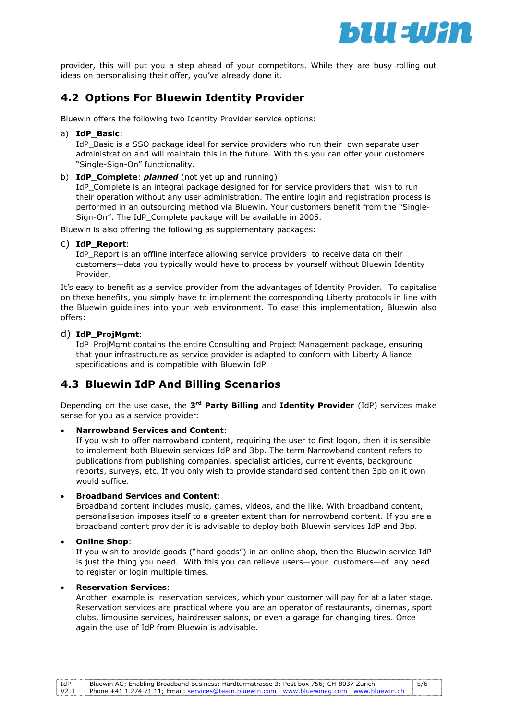

provider, this will put you a step ahead of your competitors. While they are busy rolling out ideas on personalising their offer, you've already done it.

## **4.2 Options For Bluewin Identity Provider**

Bluewin offers the following two Identity Provider service options:

a) **IdP\_Basic**:

IdP\_Basic is a SSO package ideal for service providers who run their own separate user administration and will maintain this in the future. With this you can offer your customers "Single-Sign-On" functionality.

b) **IdP\_Complete**: *planned* (not yet up and running)

IdP Complete is an integral package designed for for service providers that wish to run their operation without any user administration. The entire login and registration process is performed in an outsourcing method via Bluewin. Your customers benefit from the "Single-Sign-On". The IdP\_Complete package will be available in 2005.

Bluewin is also offering the following as supplementary packages:

#### c) **IdP\_Report**:

IdP\_Report is an offline interface allowing service providers to receive data on their customers—data you typically would have to process by yourself without Bluewin Identity Provider.

It's easy to benefit as a service provider from the advantages of Identity Provider. To capitalise on these benefits, you simply have to implement the corresponding Liberty protocols in line with the Bluewin guidelines into your web environment. To ease this implementation, Bluewin also offers:

#### d) **IdP\_ProjMgmt**:

IdP\_ProjMgmt contains the entire Consulting and Project Management package, ensuring that your infrastructure as service provider is adapted to conform with Liberty Alliance specifications and is compatible with Bluewin IdP.

## **4.3 Bluewin IdP And Billing Scenarios**

Depending on the use case, the **3rd Party Billing** and **Identity Provider** (IdP) services make sense for you as a service provider:

#### • **Narrowband Services and Content**:

If you wish to offer narrowband content, requiring the user to first logon, then it is sensible to implement both Bluewin services IdP and 3bp. The term Narrowband content refers to publications from publishing companies, specialist articles, current events, background reports, surveys, etc. If you only wish to provide standardised content then 3pb on it own would suffice.

#### • **Broadband Services and Content**:

Broadband content includes music, games, videos, and the like. With broadband content, personalisation imposes itself to a greater extent than for narrowband content. If you are a broadband content provider it is advisable to deploy both Bluewin services IdP and 3bp.

#### • **Online Shop**:

If you wish to provide goods ("hard goods") in an online shop, then the Bluewin service IdP is just the thing you need. With this you can relieve users—your customers—of any need to register or login multiple times.

#### • **Reservation Services**:

Another example is reservation services, which your customer will pay for at a later stage. Reservation services are practical where you are an operator of restaurants, cinemas, sport clubs, limousine services, hairdresser salons, or even a garage for changing tires. Once again the use of IdP from Bluewin is advisable.